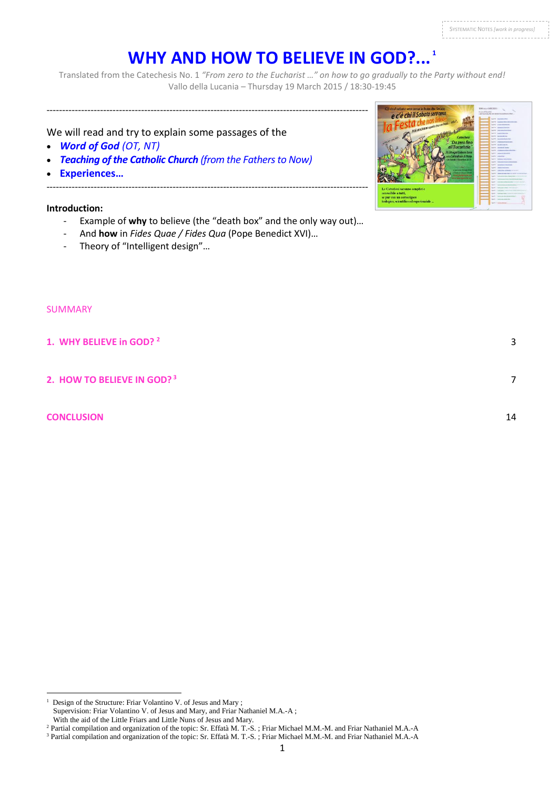# **WHY AND HOW TO BELIEVE IN GOD?...**

Translated from the Catechesis No. 1 *"From zero to the Eucharist …" on how to go gradually to the Party without end!* Vallo della Lucania – Thursday 19 March 2015 / 18:30-19:45

We will read and try to explain some passages of the

- *Word of God (OT, NT)*
- *Teaching of the Catholic Church (from the Fathers to Now)*
- **Experiences…**

## **Introduction:**

- Example of **why** to believe (the "death box" and the only way out)…

------------------------------------------------------------------------------------------------------

------------------------------------------------------------------------------------------------------

- And **how** in *Fides Quae / Fides Qua* (Pope Benedict XVI)…
- Theory of "Intelligent design"…

#### SUMMARY

**1. WHY BELIEVE in GOD? <sup>2</sup>**

**2. HOW TO BELIEVE IN GOD? 3**

## **CONCLUSION** 14



3

7

SYSTEMATIC NOTES *[work in progress]*

 $\overline{a}$ <sup>1</sup> Design of the Structure: Friar Volantino V. of Jesus and Mary ;

Supervision: Friar Volantino V. of Jesus and Mary, and Friar Nathaniel M.A.-A ; With the aid of the Little Friars and Little Nuns of Jesus and Mary.

<sup>2</sup> Partial compilation and organization of the topic: Sr. Effatà M. T.-S. ; Friar Michael M.M.-M. and Friar Nathaniel M.A.-A

<sup>3</sup> Partial compilation and organization of the topic: Sr. Effatà M. T.-S. ; Friar Michael M.M.-M. and Friar Nathaniel M.A.-A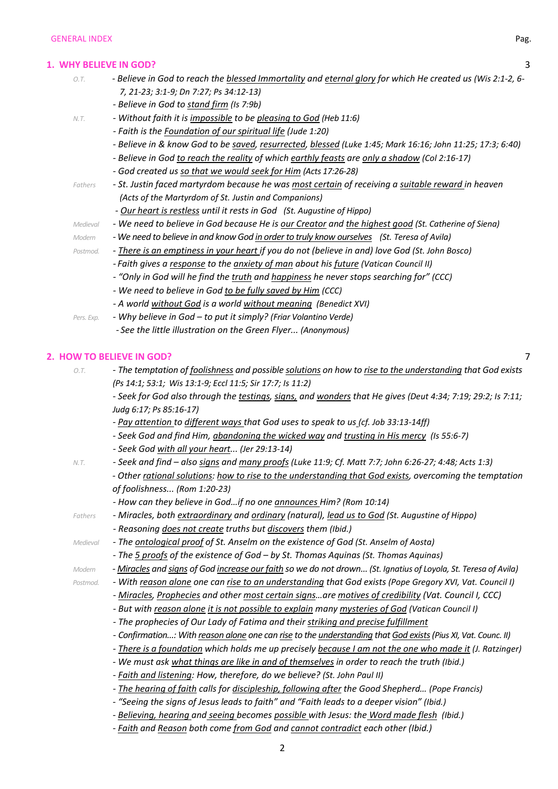#### **1. WHY BELIEVE IN GOD?**3

- *O.T. - Believe in God to reach the blessed Immortality and eternal glory for which He created us (Wis 2:1-2, 6- 7, 21-23; 3:1-9; Dn 7:27; Ps 34:12-13)*
	- *- Believe in God to stand firm (Is 7:9b)*
- *N.T. - Without faith it is impossible to be pleasing to God (Heb 11:6)*
	- *- Faith is the Foundation of our spiritual life (Jude 1:20)*
	- *- Believe in & know God to be saved, resurrected, blessed (Luke 1:45; Mark 16:16; John 11:25; 17:3; 6:40)*
	- *- Believe in God to reach the reality of which earthly feasts are only a shadow (Col 2:16-17)*
	- *- God created us so that we would seek for Him (Acts 17:26-28)*
- *Fathers - St. Justin faced martyrdom because he was most certain of receiving a suitable reward in heaven (Acts of the Martyrdom of St. Justin and Companions)*
	- *- Our heart is restless until it rests in God (St. Augustine of Hippo)*
- *Medieval - We need to believe in God because He is our Creator and the highest good (St. Catherine of Siena)*
- *Modern - We need to believe in and know God in order to truly know ourselves (St. Teresa of Avila)*
- *Postmod. - There is an emptiness in your heart if you do not (believe in and) love God (St. John Bosco)*
	- *- Faith gives a response to the anxiety of man about his future (Vatican Council II)*
	- *- "Only in God will he find the truth and happiness he never stops searching for" (CCC)*
	- *- We need to believe in God to be fully saved by Him (CCC)*
	- *- A world without God is a world without meaning (Benedict XVI)*
- *Pers. Exp. - Why believe in God – to put it simply? (Friar Volantino Verde)*
	- *- See the little illustration on the Green Flyer... (Anonymous)*

## **2. HOW TO BELIEVE IN GOD?** 7

| O.T.     | - The temptation of foolishness and possible solutions on how to rise to the understanding that God exists           |
|----------|----------------------------------------------------------------------------------------------------------------------|
|          | (Ps 14:1; 53:1; Wis 13:1-9; Eccl 11:5; Sir 17:7; Is 11:2)                                                            |
|          | - Seek for God also through the testings, signs, and wonders that He gives (Deut 4:34; 7:19; 29:2; Is 7:11;          |
|          | Judg 6:17; Ps 85:16-17)                                                                                              |
|          | - Pay attention to different ways that God uses to speak to us (cf. Job 33:13-14ff)                                  |
|          | - Seek God and find Him, abandoning the wicked way and trusting in His mercy (Is 55:6-7)                             |
|          | - Seek God with all your heart (Jer 29:13-14)                                                                        |
| N.T.     | - Seek and find - also signs and many proofs (Luke 11:9; Cf. Matt 7:7; John 6:26-27; 4:48; Acts 1:3)                 |
|          | - Other rational solutions: how to rise to the understanding that God exists, overcoming the temptation              |
|          | of foolishness (Rom 1:20-23)                                                                                         |
|          | - How can they believe in Godif no one announces Him? (Rom 10:14)                                                    |
| Fathers  | - Miracles, both extraordinary and ordinary (natural), lead us to God (St. Augustine of Hippo)                       |
|          | - Reasoning does not create truths but discovers them (Ibid.)                                                        |
| Medieval | - The ontological proof of St. Anselm on the existence of God (St. Anselm of Aosta)                                  |
|          | - The 5 proofs of the existence of God - by St. Thomas Aquinas (St. Thomas Aquinas)                                  |
| Modern   | - Miracles and signs of God increase our faith so we do not drown (St. Ignatius of Loyola, St. Teresa of Avila)      |
| Postmod. | - With reason alone one can rise to an understanding that God exists (Pope Gregory XVI, Vat. Council I)              |
|          | - Miracles, Prophecies and other most certain signs are motives of credibility (Vat. Council I, CCC)                 |
|          | - But with reason alone it is not possible to explain many mysteries of God (Vatican Council I)                      |
|          | - The prophecies of Our Lady of Fatima and their striking and precise fulfillment                                    |
|          | - Confirmation: With reason alone one can rise to the <i>understanding</i> that God exists (Pius XI, Vat. Counc. II) |
|          | - There is a foundation which holds me up precisely because I am not the one who made it (J. Ratzinger)              |
|          | - We must ask what things are like in and of themselves in order to reach the truth (Ibid.)                          |
|          | - Faith and listening: How, therefore, do we believe? (St. John Paul II)                                             |
|          | - The hearing of faith calls for discipleship, following after the Good Shepherd (Pope Francis)                      |
|          | - "Seeing the signs of Jesus leads to faith" and "Faith leads to a deeper vision" (Ibid.)                            |
|          | - Believing, hearing and seeing becomes possible with Jesus: the Word made flesh (Ibid.)                             |
|          | - Faith and Reason both come from God and cannot contradict each other (Ibid.)                                       |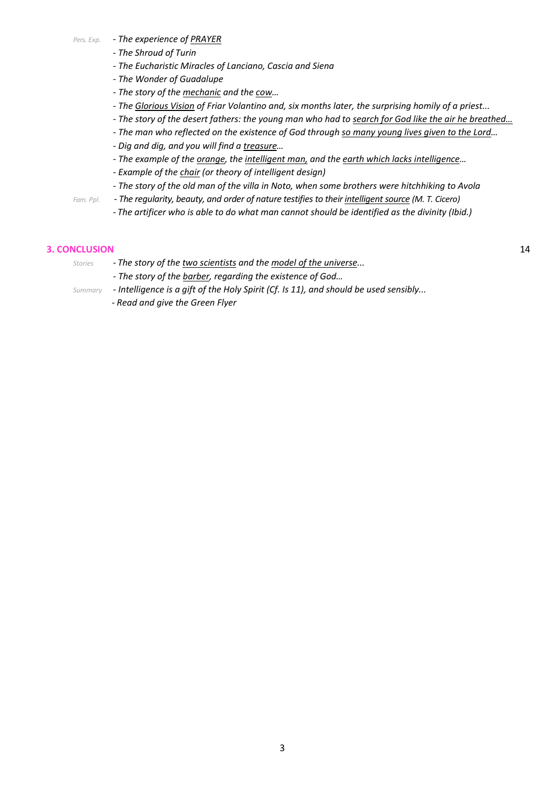- *Pers. Exp. - The experience of PRAYER*
	- *- The Shroud of Turin*
	- *- The Eucharistic Miracles of Lanciano, Cascia and Siena*
	- *- The Wonder of Guadalupe*
	- *- The story of the mechanic and the cow…*
	- *- The Glorious Vision of Friar Volantino and, six months later, the surprising homily of a priest...*
	- *- The story of the desert fathers: the young man who had to search for God like the air he breathed…*
	- *- The man who reflected on the existence of God through so many young lives given to the Lord…*
	- *- Dig and dig, and you will find a treasure…*
	- *- The example of the orange, the intelligent man, and the earth which lacks intelligence…*
	- *- Example of the chair (or theory of intelligent design)*
	- *- The story of the old man of the villa in Noto, when some brothers were hitchhiking to Avola*
- *Fam. Ppl. - The regularity, beauty, and order of nature testifies to their intelligent source (M. T. Cicero)*
	- *- The artificer who is able to do what man cannot should be identified as the divinity (Ibid.)*

#### **3. CONCLUSION** 14

- *Stories - The story of the two scientists and the model of the universe...*
	- *- The story of the barber, regarding the existence of God…*
- *Summary - Intelligence is a gift of the Holy Spirit (Cf. Is 11), and should be used sensibly...*
	- *- Read and give the Green Flyer*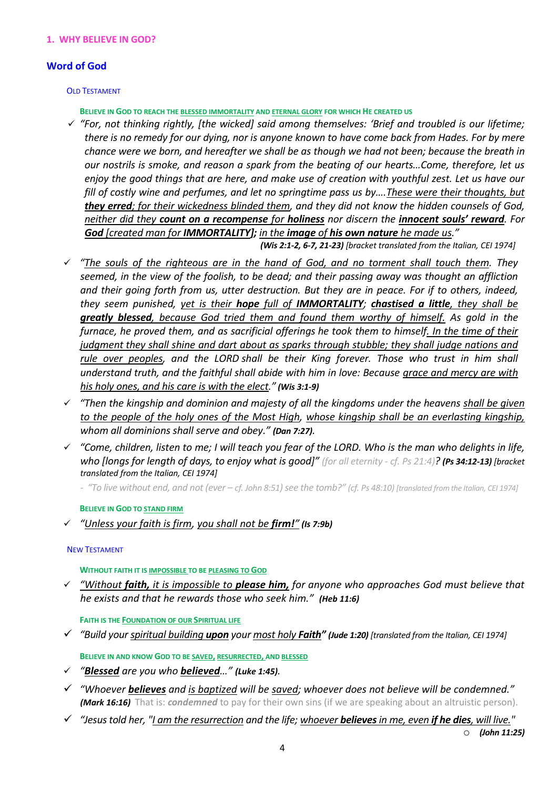## **1. WHY BELIEVE IN GOD?**

## **Word of God**

#### **OLD TESTAMENT**

**BELIEVE IN GOD TO REACH THE BLESSED IMMORTALITY AND ETERNAL GLORY FOR WHICH HE CREATED US**

 *"For, not thinking rightly, [the wicked] said among themselves: 'Brief and troubled is our lifetime; there is no remedy for our dying, nor is anyone known to have come back from Hades. For by mere chance were we born, and hereafter we shall be as though we had not been; because the breath in our nostrils is smoke, and reason a spark from the beating of our hearts…Come, therefore, let us enjoy the good things that are here, and make use of creation with youthful zest. Let us have our fill of costly wine and perfumes, and let no springtime pass us by….These were their thoughts, but they erred; for their wickedness blinded them, and they did not know the hidden counsels of God, neither did they count on a recompense for holiness nor discern the innocent souls' reward. For God [created man for IMMORTALITY]; in the image of his own nature he made us."* 

*(Wis 2:1-2, 6-7, 21-23) [bracket translated from the Italian, CEI 1974]*

- *"The souls of the righteous are in the hand of God, and no torment shall touch them. They seemed, in the view of the foolish, to be dead; and their passing away was thought an affliction and their going forth from us, utter destruction. But they are in peace. For if to others, indeed, they seem punished, yet is their hope full of IMMORTALITY; chastised a little, they shall be greatly blessed, because God tried them and found them worthy of himself. As gold in the furnace, he proved them, and as sacrificial offerings he took them to himself. In the time of their judgment they shall shine and dart about as sparks through stubble; they shall judge nations and rule over peoples, and the LORD shall be their King forever. Those who trust in him shall understand truth, and the faithful shall abide with him in love: Because grace and mercy are with his holy ones, and his care is with the elect." (Wis 3:1-9)*
- *"Then the kingship and dominion and majesty of all the kingdoms under the heavens shall be given to the people of the holy ones of the Most High, whose kingship shall be an everlasting kingship, whom all dominions shall serve and obey." (Dan 7:27).*
- *"Come, children, listen to me; I will teach you fear of the LORD. Who is the man who delights in life, who [longs for length of days, to enjoy what is good]" (for all eternity - cf. Ps 21:4)? (Ps 34:12-13) [bracket translated from the Italian, CEI 1974]*

*- "To live without end, and not (ever – cf. John 8:51) see the tomb?" (cf. Ps 48:10) [translated from the Italian, CEI 1974]*

## **BELIEVE IN GOD TO STAND FIRM**

*"Unless your faith is firm, you shall not be firm!" (Is 7:9b)*

## **NEW TESTAMENT**

## **WITHOUT FAITH IT IS IMPOSSIBLE TO BE PLEASING TO GOD**

 *"Without faith, it is impossible to please him, for anyone who approaches God must believe that he exists and that he rewards those who seek him." (Heb 11:6)*

**FAITH IS THE FOUNDATION OF OUR SPIRITUAL LIFE**

*"Build your spiritual building upon your most holy Faith" (Jude 1:20) [translated from the Italian, CEI 1974]*

**BELIEVE IN AND KNOW GOD TO BE SAVED, RESURRECTED, AND BLESSED**

- *"Blessed are you who believed…" (Luke 1:45).*
- *"Whoever believes and is baptized will be saved; whoever does not believe will be condemned." (Mark 16:16)* That is: *condemned* to pay for their own sins (if we are speaking about an altruistic person).
- *"Jesus told her, "I am the resurrection and the life; whoever believes in me, even if he dies, will live."*

o *(John 11:25)*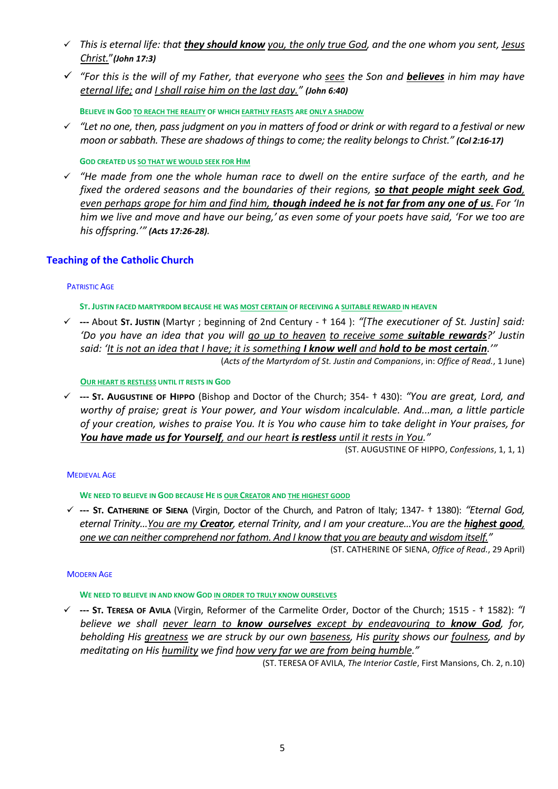- *This is eternal life: that they should know you, the only true God, and the one whom you sent, Jesus Christ.*"*(John 17:3)*
- *"For this is the will of my Father, that everyone who sees the Son and believes in him may have eternal life; and I shall raise him on the last day." (John 6:40)*

**BELIEVE IN GOD TO REACH THE REALITY OF WHICH EARTHLY FEASTS ARE ONLY A SHADOW**

 *"Let no one, then, pass judgment on you in matters of food or drink or with regard to a festival or new moon or sabbath. These are shadows of things to come; the reality belongs to Christ." (Col 2:16-17)*

**GOD CREATED US SO THAT WE WOULD SEEK FOR HIM**

 *"He made from one the whole human race to dwell on the entire surface of the earth, and he fixed the ordered seasons and the boundaries of their regions, so that people might seek God, even perhaps grope for him and find him, though indeed he is not far from any one of us. For 'In him we live and move and have our being,' as even some of your poets have said, 'For we too are his offspring.'" (Acts 17:26-28).*

## **Teaching of the Catholic Church**

#### **PATRISTIC AGE**

**ST. JUSTIN FACED MARTYRDOM BECAUSE HE WAS MOST CERTAIN OF RECEIVING A SUITABLE REWARD IN HEAVEN**

 **---** About **ST. JUSTIN** (Martyr ; beginning of 2nd Century - † 164 ): *"[The executioner of St. Justin] said: 'Do you have an idea that you will go up to heaven to receive some suitable rewards?' Justin said: 'It is not an idea that I have; it is something I know well and hold to be most certain.'"*

(*Acts of the Martyrdom of St. Justin and Companions*, in: *Office of Read.*, 1 June)

#### **OUR HEART IS RESTLESS UNTIL IT RESTS IN GOD**

 **--- ST. AUGUSTINE OF HIPPO** (Bishop and Doctor of the Church; 354- † 430): *"You are great, Lord, and worthy of praise; great is Your power, and Your wisdom incalculable. And...man, a little particle of your creation, wishes to praise You. It is You who cause him to take delight in Your praises, for You have made us for Yourself, and our heart is restless until it rests in You."* 

(ST. AUGUSTINE OF HIPPO, *Confessions*, 1, 1, 1)

#### **MEDIEVAL AGE**

#### **WE NEED TO BELIEVE IN GOD BECAUSE HE IS OUR CREATOR AND THE HIGHEST GOOD**

 **--- ST. CATHERINE OF SIENA** (Virgin, Doctor of the Church, and Patron of Italy; 1347- † 1380): *"Eternal God, eternal Trinity…You are my Creator, eternal Trinity, and I am your creature…You are the highest good, one we can neither comprehend nor fathom. And I know that you are beauty and wisdom itself."*

(ST. CATHERINE OF SIENA, *Office of Read.*, 29 April)

#### MODERN AGE

#### **WE NEED TO BELIEVE IN AND KNOW GOD IN ORDER TO TRULY KNOW OURSELVES**

 **--- ST. TERESA OF AVILA** (Virgin, Reformer of the Carmelite Order, Doctor of the Church; 1515 - † 1582): *"I believe we shall never learn to know ourselves except by endeavouring to know God, for, beholding His greatness we are struck by our own baseness, His purity shows our foulness, and by meditating on His humility we find how very far we are from being humble."* 

(ST. TERESA OF AVILA, *The Interior Castle*, First Mansions, Ch. 2, n.10)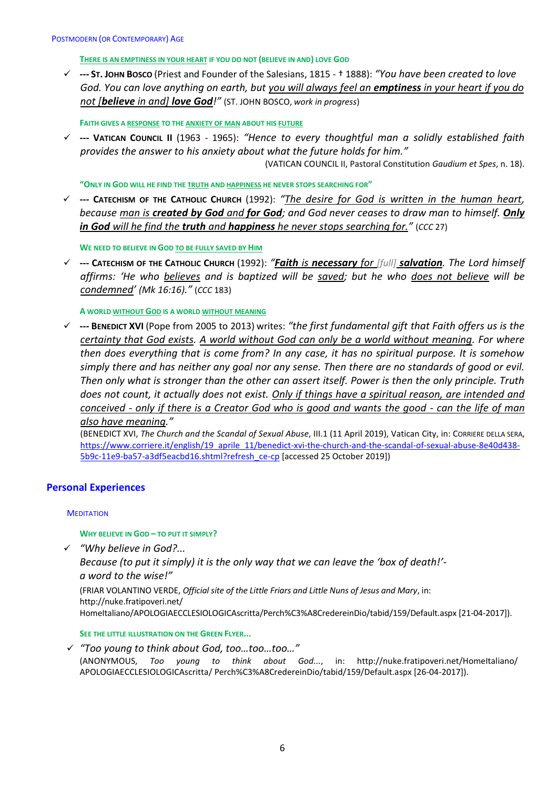**THERE IS AN EMPTINESS IN YOUR HEART IF YOU DO NOT (BELIEVE IN AND) LOVE GOD**

 **--- ST. JOHN BOSCO** (Priest and Founder of the Salesians, 1815 - † 1888): *"You have been created to love God. You can love anything on earth, but you will always feel an emptiness in your heart if you do not [believe in and] love God!"* (ST. JOHN BOSCO, *work in progress*)

**FAITH GIVES A RESPONSE TO THE ANXIETY OF MAN ABOUT HIS FUTURE**

 **--- VATICAN COUNCIL II** (1963 - 1965): *"Hence to every thoughtful man a solidly established faith provides the answer to his anxiety about what the future holds for him."*

(VATICAN COUNCIL II, Pastoral Constitution *Gaudium et Spes*, n. 18).

**"ONLY IN GOD WILL HE FIND THE TRUTH AND HAPPINESS HE NEVER STOPS SEARCHING FOR"**

 **--- CATECHISM OF THE CATHOLIC CHURCH** (1992): *"The desire for God is written in the human heart, because man is created by God and for God; and God never ceases to draw man to himself. Only in God will he find the truth and happiness he never stops searching for."* (*CCC* 27)

**WE NEED TO BELIEVE IN GOD TO BE FULLY SAVED BY HIM**

 **--- CATECHISM OF THE CATHOLIC CHURCH** (1992): *"Faith is necessary for [full] salvation. The Lord himself affirms: 'He who believes and is baptized will be saved; but he who does not believe will be condemned' (Mk 16:16)."* (*CCC* 183)

**A WORLD WITHOUT GOD IS A WORLD WITHOUT MEANING**

 **--- BENEDICT XVI** (Pope from 2005 to 2013) writes: *"the first fundamental gift that Faith offers us is the certainty that God exists. A world without God can only be a world without meaning. For where then does everything that is come from? In any case, it has no spiritual purpose. It is somehow simply there and has neither any goal nor any sense. Then there are no standards of good or evil. Then only what is stronger than the other can assert itself. Power is then the only principle. Truth does not count, it actually does not exist. Only if things have a spiritual reason, are intended and conceived - only if there is a Creator God who is good and wants the good - can the life of man also have meaning."*

(BENEDICT XVI, *The Church and the Scandal of Sexual Abuse*, III.1 (11 April 2019), Vatican City, in: CORRIERE DELLA SERA, [https://www.corriere.it/english/19\\_aprile\\_11/benedict-xvi-the-church-and-the-scandal-of-sexual-abuse-8e40d438-](https://www.corriere.it/english/19_aprile_11/benedict-xvi-the-church-and-the-scandal-of-sexual-abuse-8e40d438-5b9c-11e9-ba57-a3df5eacbd16.shtml?refresh_ce-cp) [5b9c-11e9-ba57-a3df5eacbd16.shtml?refresh\\_ce-cp](https://www.corriere.it/english/19_aprile_11/benedict-xvi-the-church-and-the-scandal-of-sexual-abuse-8e40d438-5b9c-11e9-ba57-a3df5eacbd16.shtml?refresh_ce-cp) [accessed 25 October 2019])

## **Personal Experiences**

#### **MEDITATION**

#### **WHY BELIEVE IN GOD – TO PUT IT SIMPLY?**

*"Why believe in God?...* 

*Because (to put it simply) it is the only way that we can leave the 'box of death!' a word to the wise!"*

(FRIAR VOLANTINO VERDE, *Official site of the Little Friars and Little Nuns of Jesus and Mary*, in: http://nuke.fratipoveri.net/ HomeItaliano/APOLOGIAECCLESIOLOGICAscritta/Perch%C3%A8CredereinDio/tabid/159/Default.aspx [21-04-2017]).

**SEE THE LITTLE ILLUSTRATION ON THE GREEN FLYER...**

 *"Too young to think about God, too…too…too…"* (ANONYMOUS, *Too young to think about God...*, in: http://nuke.fratipoveri.net/HomeItaliano/ APOLOGIAECCLESIOLOGICAscritta/ Perch%C3%A8CredereinDio/tabid/159/Default.aspx [26-04-2017]).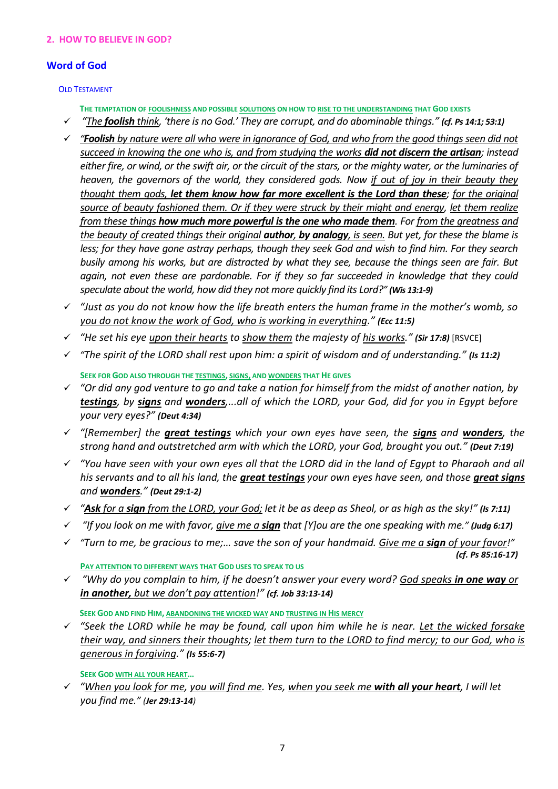## **2. HOW TO BELIEVE IN GOD?**

## **Word of God**

OLD TESTAMENT

**THE TEMPTATION OF FOOLISHNESS AND POSSIBLE SOLUTIONS ON HOW TO RISE TO THE UNDERSTANDING THAT GOD EXISTS** 

- *"The foolish think, 'there is no God.' They are corrupt, and do abominable things." (cf. Ps 14:1; 53:1)*
- *"Foolish by nature were all who were in ignorance of God, and who from the good things seen did not succeed in knowing the one who is, and from studying the works did not discern the artisan; instead either fire, or wind, or the swift air, or the circuit of the stars, or the mighty water, or the luminaries of heaven, the governors of the world, they considered gods. Now if out of joy in their beauty they thought them gods, let them know how far more excellent is the Lord than these; for the original source of beauty fashioned them. Or if they were struck by their might and energy, let them realize from these things how much more powerful is the one who made them. For from the greatness and the beauty of created things their original author, by analogy, is seen. But yet, for these the blame is less; for they have gone astray perhaps, though they seek God and wish to find him. For they search busily among his works, but are distracted by what they see, because the things seen are fair. But again, not even these are pardonable. For if they so far succeeded in knowledge that they could speculate about the world, how did they not more quickly find its Lord?" (Wis 13:1-9)*
- *"Just as you do not know how the life breath enters the human frame in the mother's womb, so you do not know the work of God, who is working in everything." (Ecc 11:5)*
- *"He set his eye upon their hearts to show them the majesty of his works." (Sir 17:8)* [RSVCE]
- *"The spirit of the LORD shall rest upon him: a spirit of wisdom and of understanding." (Is 11:2)*

**SEEK FOR GOD ALSO THROUGH THE TESTINGS, SIGNS, AND WONDERS THAT HE GIVES**

- *"Or did any god venture to go and take a nation for himself from the midst of another nation, by testings, by signs and wonders,...all of which the LORD, your God, did for you in Egypt before your very eyes?" (Deut 4:34)*
- *"[Remember] the great testings which your own eyes have seen, the signs and wonders, the strong hand and outstretched arm with which the LORD, your God, brought you out." (Deut 7:19)*
- *"You have seen with your own eyes all that the LORD did in the land of Egypt to Pharaoh and all his servants and to all his land, the great testings your own eyes have seen, and those great signs and wonders." (Deut 29:1-2)*
- *"Ask for a sign from the LORD, your God; let it be as deep as Sheol, or as high as the sky!" [\(Is 7:11\)](http://www.lachiesa.it/bibbia.php?ricerca=citazione&id_versioni=1&Citazione=Is+7&VersettoOn=1)*
- *"If you look on me with favor, give me a sign that [Y]ou are the one speaking with me." (Judg 6:17)*
- *"Turn to me, be gracious to me;… save the son of your handmaid. Give me a sign of your favor!" (cf. Ps 85:16-17)*

**PAY ATTENTION TO DIFFERENT WAYS THAT GOD USES TO SPEAK TO US**

 *"Why do you complain to him, if he doesn't answer your every word? God speaks in one way or in another, but we don't pay attention!" (cf. Job 33:13-14)*

**SEEK GOD AND FIND HIM, ABANDONING THE WICKED WAY AND TRUSTING IN HIS MERCY**

 *"Seek the LORD while he may be found, call upon him while he is near. Let the wicked forsake their way, and sinners their thoughts; let them turn to the LORD to find mercy; to our God, who is generous in forgiving." (Is 55:6-7)*

**SEEK GOD WITH ALL YOUR HEART…**

 *"When you look for me, you will find me. Yes, when you seek me with all your heart, I will let you find me." (Jer 29:13-14)*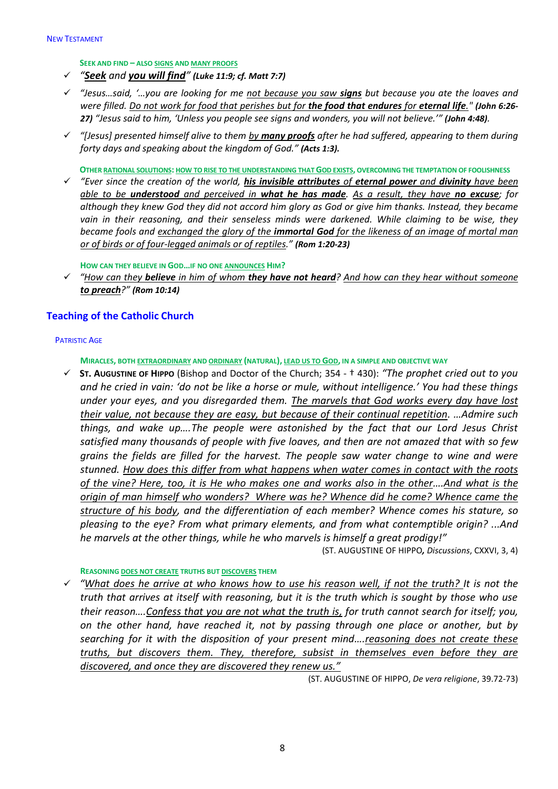**SEEK AND FIND – ALSO SIGNS AND MANY PROOFS**

- *"Seek and you will find" (Luke 11:9; cf. Matt 7:7)*
- *"Jesus…said, '…you are looking for me not because you saw signs but because you ate the loaves and were filled. Do not work for food that perishes but for the food that endures for eternal life." (John 6:26- 27) "Jesus said to him, 'Unless you people see signs and wonders, you will not believe.'" (John 4:48).*
- *"[Jesus] presented himself alive to them by many proofs after he had suffered, appearing to them during forty days and speaking about the kingdom of God." (Acts 1:3).*

**OTHER RATIONAL SOLUTIONS: HOW TO RISE TO THE UNDERSTANDING THAT GOD EXISTS, OVERCOMING THE TEMPTATION OF FOOLISHNESS**

 *"Ever since the creation of the world, his invisible attributes of eternal power and divinity have been able to be understood and perceived in what he has made. As a result, they have no excuse; for although they knew God they did not accord him glory as God or give him thanks. Instead, they became vain in their reasoning, and their senseless minds were darkened. While claiming to be wise, they became fools and exchanged the glory of the immortal God for the likeness of an image of mortal man or of birds or of four-legged animals or of reptiles." (Rom 1:20-23)*

**HOW CAN THEY BELIEVE IN GOD…IF NO ONE ANNOUNCES HIM?**

 *"How can they believe in him of whom they have not heard? And how can they hear without someone to preach?" (Rom 10:14)*

## **Teaching of the Catholic Church**

#### PATRISTIC AGE

**MIRACLES, BOTH EXTRAORDINARY AND ORDINARY (NATURAL), LEAD US TO GOD, IN A SIMPLE AND OBJECTIVE WAY**

 **ST. AUGUSTINE OF HIPPO** (Bishop and Doctor of the Church; 354 - † 430): *"The prophet cried out to you and he cried in vain: 'do not be like a horse or mule, without intelligence.' You had these things under your eyes, and you disregarded them. The marvels that God works every day have lost their value, not because they are easy, but because of their continual repetition. …Admire such things, and wake up….The people were astonished by the fact that our Lord Jesus Christ satisfied many thousands of people with five loaves, and then are not amazed that with so few grains the fields are filled for the harvest. The people saw water change to wine and were stunned. How does this differ from what happens when water comes in contact with the roots of the vine? Here, too, it is He who makes one and works also in the other….And what is the origin of man himself who wonders? Where was he? Whence did he come? Whence came the structure of his body, and the differentiation of each member? Whence comes his stature, so pleasing to the eye? From what primary elements, and from what contemptible origin? ...And he marvels at the other things, while he who marvels is himself a great prodigy!"*

(ST. AUGUSTINE OF HIPPO*, Discussions*, CXXVI, 3, 4)

**REASONING DOES NOT CREATE TRUTHS BUT DISCOVERS THEM**

 *"What does he arrive at who knows how to use his reason well, if not the truth? It is not the truth that arrives at itself with reasoning, but it is the truth which is sought by those who use their reason….Confess that you are not what the truth is, for truth cannot search for itself; you, on the other hand, have reached it, not by passing through one place or another, but by searching for it with the disposition of your present mind….reasoning does not create these truths, but discovers them. They, therefore, subsist in themselves even before they are discovered, and once they are discovered they renew us."*

(ST. AUGUSTINE OF HIPPO, *De vera religione*, 39.72-73)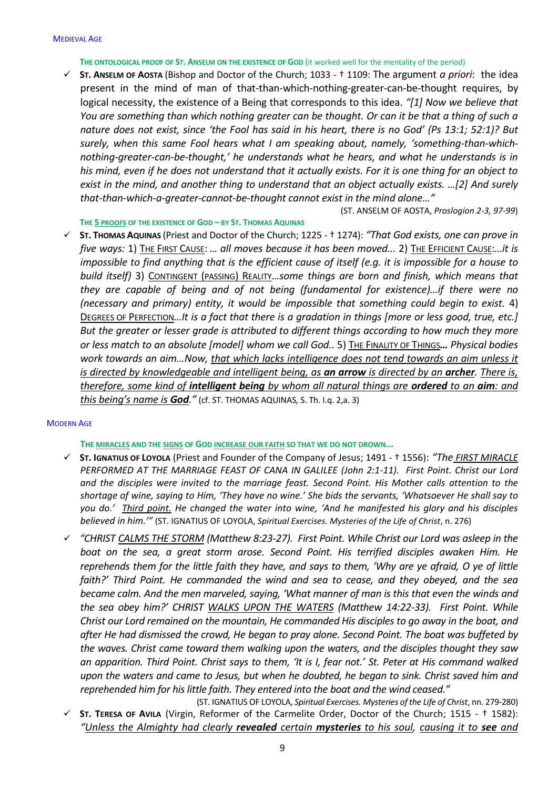**THE ONTOLOGICAL PROOF OF ST. ANSELM ON THE EXISTENCE OF GOD** (it worked well for the mentality of the period)

 $\checkmark$  **ST.** ANSELM OF AOSTA (Bishop and Doctor of the Church; 1033 - † 1109: The argument *a priori*: the idea present in the mind of man of that-than-which-nothing-greater-can-be-thought requires, by logical necessity, the existence of a Being that corresponds to this idea. *"[1] Now we believe that You are something than which nothing greater can be thought. Or can it be that a thing of such a nature does not exist, since 'the Fool has said in his heart, there is no God' (Ps 13:1; 52:1)? But surely, when this same Fool hears what I am speaking about, namely, 'something-than-whichnothing-greater-can-be-thought,' he understands what he hears, and what he understands is in his mind, even if he does not understand that it actually exists. For it is one thing for an object to exist in the mind, and another thing to understand that an object actually exists. …[2] And surely that-than-which-a-greater-cannot-be-thought cannot exist in the mind alone…"* 

(ST. ANSELM OF AOSTA, *Proslogion 2-3, 97-99*)

**THE 5 PROOFS OF THE EXISTENCE OF GOD – BY ST. THOMAS AQUINAS**

 **ST. THOMAS AQUINAS** (Priest and Doctor of the Church; 1225 - † 1274): *"That God exists, one can prove in five ways:* 1) THE FIRST CAUSE: *… all moves because it has been moved...* 2) THE EFFICIENT CAUSE:*…it is impossible to find anything that is the efficient cause of itself (e.g. it is impossible for a house to build itself)* 3) CONTINGENT (PASSING) REALITY*…some things are born and finish, which means that they are capable of being and of not being (fundamental for existence)…if there were no (necessary and primary) entity, it would be impossible that something could begin to exist.* 4) DEGREES OF PERFECTION*…It is a fact that there is a gradation in things [more or less good, true, etc.] But the greater or lesser grade is attributed to different things according to how much they more or less match to an absolute [model] whom we call God..* 5) THE FINALITY OF THINGS*… Physical bodies work towards an aim…Now, that which lacks intelligence does not tend towards an aim unless it is directed by knowledgeable and intelligent being, as an arrow is directed by an archer. There is, therefore, some kind of intelligent being by whom all natural things are ordered to an aim: and this being's name is God."* (cf. ST. THOMAS AQUINAS*,* S. Th. I.q. 2,a. 3)

#### MODERN AGE

## **THE MIRACLES AND THE SIGNS OF GOD INCREASE OUR FAITH SO THAT WE DO NOT DROWN...**

- **ST. IGNATIUS OF LOYOLA** (Priest and Founder of the Company of Jesus; 1491 † 1556): *"The FIRST MIRACLE PERFORMED AT THE MARRIAGE FEAST OF CANA IN GALILEE (John 2:1-11). First Point. Christ our Lord and the disciples were invited to the marriage feast. Second Point. His Mother calls attention to the shortage of wine, saying to Him, 'They have no wine.' She bids the servants, 'Whatsoever He shall say to you do.' Third point. He changed the water into wine, 'And he manifested his glory and his disciples believed in him.'"* (ST. IGNATIUS OF LOYOLA, *Spiritual Exercises. Mysteries of the Life of Christ*, n. 276)
- *"CHRIST CALMS THE STORM (Matthew 8:23-27). First Point. While Christ our Lord was asleep in the boat on the sea, a great storm arose. Second Point. His terrified disciples awaken Him. He reprehends them for the little faith they have, and says to them, 'Why are ye afraid, O ye of little faith?' Third Point. He commanded the wind and sea to cease, and they obeyed, and the sea became calm. And the men marveled, saying, 'What manner of man is this that even the winds and the sea obey him?' CHRIST WALKS UPON THE WATERS (Matthew 14:22-33). First Point. While Christ our Lord remained on the mountain, He commanded His disciples to go away in the boat, and after He had dismissed the crowd, He began to pray alone. Second Point. The boat was buffeted by the waves. Christ came toward them walking upon the waters, and the disciples thought they saw an apparition. Third Point. Christ says to them, 'It is I, fear not.' St. Peter at His command walked upon the waters and came to Jesus, but when he doubted, he began to sink. Christ saved him and reprehended him for his little faith. They entered into the boat and the wind ceased."*
- (ST. IGNATIUS OF LOYOLA, *Spiritual Exercises. Mysteries of the Life of Christ*, nn. 279-280) **ST. TERESA OF AVILA** (Virgin, Reformer of the Carmelite Order, Doctor of the Church; 1515 - † 1582): *"Unless the Almighty had clearly revealed certain mysteries to his soul, causing it to see and*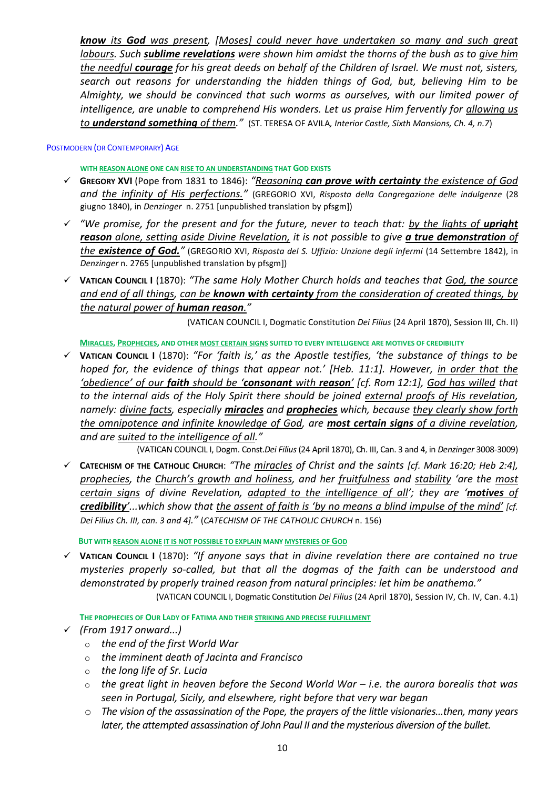*know its God was present, [Moses] could never have undertaken so many and such great labours. Such sublime revelations were shown him amidst the thorns of the bush as to give him the needful courage for his great deeds on behalf of the Children of Israel. We must not, sisters, search out reasons for understanding the hidden things of God, but, believing Him to be Almighty, we should be convinced that such worms as ourselves, with our limited power of intelligence, are unable to comprehend His wonders. Let us praise Him fervently for allowing us to understand something of them."* (ST. TERESA OF AVILA*, Interior Castle, Sixth Mansions, Ch. 4, n.7*)

## POSTMODERN (OR CONTEMPORARY) AGE

**WITH REASON ALONE ONE CAN RISE TO AN UNDERSTANDING THAT GOD EXISTS**

- **GREGORY XVI** (Pope from 1831 to 1846): *"Reasoning can prove with certainty the existence of God and the infinity of His perfections."* (GREGORIO XVI, *Risposta della Congregazione delle indulgenze* (28 giugno 1840), in *Denzinger* n. 2751 [unpublished translation by pfsgm])
- *"We promise, for the present and for the future, never to teach that: by the lights of upright reason alone, setting aside Divine Revelation, it is not possible to give a true demonstration of the existence of God."* (GREGORIO XVI, *Risposta del S. Uffizio: Unzione degli infermi* (14 Settembre 1842), in *Denzinger* n. 2765 [unpublished translation by pfsgm])
- **VATICAN COUNCIL I** (1870): *"The same Holy Mother Church holds and teaches that God, the source and end of all things, can be known with certainty from the consideration of created things, by the natural power of human reason."*

(VATICAN COUNCIL I, Dogmatic Constitution *Dei Filius* (24 April 1870), Session III, Ch. II)

**MIRACLES, PROPHECIES, AND OTHER MOST CERTAIN SIGNS SUITED TO EVERY INTELLIGENCE ARE MOTIVES OF CREDIBILITY**

 **VATICAN COUNCIL I** (1870): *"For 'faith is,' as the Apostle testifies, 'the substance of things to be hoped for, the evidence of things that appear not.' [Heb. 11:1]. However, in order that the 'obedience' of our faith should be 'consonant with reason' [cf. Rom 12:1], God has willed that to the internal aids of the Holy Spirit there should be joined external proofs of His revelation, namely: divine facts, especially miracles and prophecies which, because they clearly show forth the omnipotence and infinite knowledge of God, are most certain signs of a divine revelation, and are suited to the intelligence of all."*

(VATICAN COUNCIL I, Dogm. Const.*Dei Filius* (24 April 1870), Ch. III, Can. 3 and 4, in *Denzinger* 3008-3009)

 **CATECHISM OF THE CATHOLIC CHURCH**: *"The miracles of Christ and the saints [cf. Mark 16:20; Heb 2:4], prophecies, the Church's growth and holiness, and her fruitfulness and stability 'are the most certain signs of divine Revelation, adapted to the intelligence of all'; they are 'motives of credibility'...which show that the assent of faith is 'by no means a blind impulse of the mind' [cf. Dei Filius Ch. III, can. 3 and 4]."* (*CATECHISM OF THE CATHOLIC CHURCH* n. 156)

**BUT WITH REASON ALONE IT IS NOT POSSIBLE TO EXPLAIN MANY MYSTERIES OF GOD**

 **VATICAN COUNCIL I** (1870): *"If anyone says that in divine revelation there are contained no true mysteries properly so-called, but that all the dogmas of the faith can be understood and demonstrated by properly trained reason from natural principles: let him be anathema."* 

(VATICAN COUNCIL I, Dogmatic Constitution *Dei Filius* (24 April 1870), Session IV, Ch. IV, Can. 4.1)

**THE PROPHECIES OF OUR LADY OF FATIMA AND THEIR STRIKING AND PRECISE FULFILLMENT**

- *(From 1917 onward...)*
	- o *the end of the first World War*
	- o *the imminent death of Jacinta and Francisco*
	- o *the long life of Sr. Lucia*
	- o *the great light in heaven before the Second World War – i.e. the aurora borealis that was seen in Portugal, Sicily, and elsewhere, right before that very war began*
	- o *The vision of the assassination of the Pope, the prayers of the little visionaries...then, many years later, the attempted assassination of John Paul II and the mysterious diversion of the bullet.*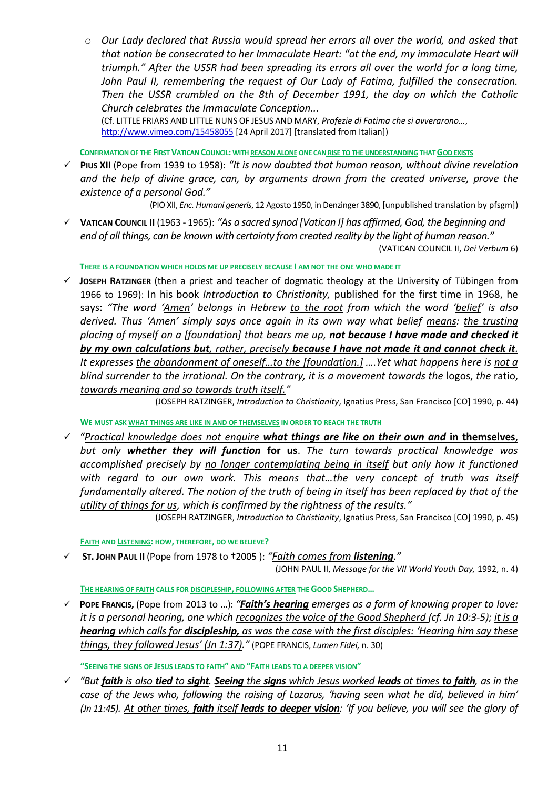o *Our Lady declared that Russia would spread her errors all over the world, and asked that that nation be consecrated to her Immaculate Heart: "at the end, my immaculate Heart will triumph." After the USSR had been spreading its errors all over the world for a long time, John Paul II, remembering the request of Our Lady of Fatima, fulfilled the consecration. Then the USSR crumbled on the 8th of December 1991, the day on which the Catholic Church celebrates the Immaculate Conception...*

(Cf. LITTLE FRIARS AND LITTLE NUNS OF JESUS AND MARY, *Profezie di Fatima che si avverarono…*, <http://www.vimeo.com/15458055> [24 April 2017] [translated from Italian])

**CONFIRMATION OF THE FIRST VATICAN COUNCIL: WITH REASON ALONE ONE CANRISE TO THE UNDERSTANDING THAT GOD EXISTS**

 **PIUS XII** (Pope from 1939 to 1958): *"It is now doubted that human reason, without divine revelation and the help of divine grace, can, by arguments drawn from the created universe, prove the existence of a personal God."*

(PIO XII, *Enc. Humani generis*, 12 Agosto 1950, in Denzinger 3890, [unpublished translation by pfsgm])

 **VATICAN COUNCIL II** (1963 - 1965): *"As a sacred synod [Vatican I] has affirmed, God, the beginning and end of all things, can be known with certainty from created reality by the light of human reason."* (VATICAN COUNCIL II, *Dei Verbum* 6)

**THERE IS A FOUNDATION WHICH HOLDS ME UP PRECISELY BECAUSE I AM NOT THE ONE WHO MADE IT**

 **JOSEPH RATZINGER** (then a priest and teacher of dogmatic theology at the University of Tübingen from 1966 to 1969): In his book *Introduction to Christianity,* published for the first time in 1968, he says: *"The word 'Amen' belongs in Hebrew to the root from which the word 'belief' is also derived. Thus 'Amen' simply says once again in its own way what belief means: the trusting placing of myself on a [foundation] that bears me up, not because I have made and checked it by my own calculations but, rather, precisely because I have not made it and cannot check it. It expresses the abandonment of oneself…to the [foundation.] ….Yet what happens here is not a blind surrender to the irrational. On the contrary, it is a movement towards the* logos, *the* ratio, *towards meaning and so towards truth itself."*

(JOSEPH RATZINGER, *Introduction to Christianity*, Ignatius Press, San Francisco [CO] 1990, p. 44)

**WE MUST ASK WHAT THINGS ARE LIKE IN AND OF THEMSELVES IN ORDER TO REACH THE TRUTH**

 *"Practical knowledge does not enquire what things are like on their own and* **in themselves**, *but only whether they will function* **for us**. *The turn towards practical knowledge was accomplished precisely by no longer contemplating being in itself but only how it functioned with regard to our own work. This means that…the very concept of truth was itself fundamentally altered. The notion of the truth of being in itself has been replaced by that of the utility of things for us, which is confirmed by the rightness of the results."* 

(JOSEPH RATZINGER, *Introduction to Christianity*, Ignatius Press, San Francisco [CO] 1990, p. 45)

**FAITH AND LISTENING: HOW, THEREFORE, DO WE BELIEVE?**

**ST. JOHN PAUL II** (Pope from 1978 to †2005 ): *"Faith comes from listening."*

(JOHN PAUL II, *Message for the VII World Youth Day,* 1992, n. 4)

**THE HEARING OF FAITH CALLS FOR DISCIPLESHIP, FOLLOWING AFTER THE GOOD SHEPHERD…**

 **POPE FRANCIS,** (Pope from 2013 to …): *"Faith's hearing emerges as a form of knowing proper to love: it is a personal hearing, one which recognizes the voice of the Good Shepherd (cf. Jn 10:3-5); it is a hearing which calls for discipleship, as was the case with the first disciples: 'Hearing him say these things, they followed Jesus' (Jn 1:37)."* (POPE FRANCIS, *Lumen Fidei,* n. 30)

**"SEEING THE SIGNS OF JESUS LEADS TO FAITH" AND "FAITH LEADS TO A DEEPER VISION"**

 *"But faith is also tied to sight. Seeing the signs which Jesus worked leads at times to faith, as in the case of the Jews who, following the raising of Lazarus, 'having seen what he did, believed in him' (Jn 11:45). At other times, faith itself leads to deeper vision: 'If you believe, you will see the glory of*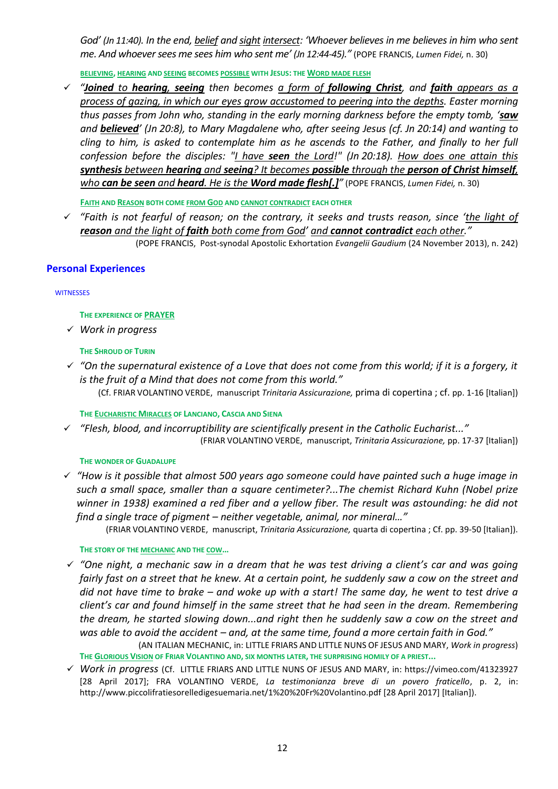*God' (Jn 11:40). In the end, belief and sight intersect: 'Whoever believes in me believes in him who sent me. And whoever sees me sees him who sent me' (Jn 12:44-45)."* (POPE FRANCIS, *Lumen Fidei,* n. 30)

**BELIEVING, HEARING AND SEEING BECOMES POSSIBLE WITH JESUS: THE WORD MADE FLESH**

 *"Joined to hearing, seeing then becomes a form of following Christ, and faith appears as a process of gazing, in which our eyes grow accustomed to peering into the depths. Easter morning thus passes from John who, standing in the early morning darkness before the empty tomb, 'saw and believed' (Jn 20:8), to Mary Magdalene who, after seeing Jesus (cf. Jn 20:14) and wanting to cling to him, is asked to contemplate him as he ascends to the Father, and finally to her full confession before the disciples: "I have seen the Lord!" (Jn 20:18). How does one attain this synthesis between hearing and seeing? It becomes possible through the person of Christ himself, who can be seen and heard. He is the Word made flesh[.]"* (POPE FRANCIS, *Lumen Fidei,* n. 30)

**FAITH AND REASON BOTH COME FROM GOD AND CANNOT CONTRADICT EACH OTHER**

 *"Faith is not fearful of reason; on the contrary, it seeks and trusts reason, since 'the light of reason and the light of faith both come from God' and cannot contradict each other."* 

(POPE FRANCIS, Post-synodal Apostolic Exhortation *Evangelii Gaudium* (24 November 2013), n. 242)

## **Personal Experiences**

#### **WITNESSES**

## **THE EXPERIENCE OF PRAYER**

*Work in progress*

## **THE SHROUD OF TURIN**

 *"On the supernatural existence of a Love that does not come from this world; if it is a forgery, it is the fruit of a Mind that does not come from this world."* 

(Cf. FRIAR VOLANTINO VERDE, manuscript *Trinitaria Assicurazione,* prima di copertina ; cf. pp. 1-16 [Italian])

**THE EUCHARISTIC MIRACLES OF LANCIANO, CASCIA AND SIENA**

 *"Flesh, blood, and incorruptibility are scientifically present in the Catholic Eucharist..."*  (FRIAR VOLANTINO VERDE, manuscript, *Trinitaria Assicurazione,* pp. 17-37 [Italian])

## **THE WONDER OF GUADALUPE**

 *"How is it possible that almost 500 years ago someone could have painted such a huge image in such a small space, smaller than a square centimeter?...The chemist Richard Kuhn (Nobel prize winner in 1938) examined a red fiber and a yellow fiber. The result was astounding: he did not find a single trace of pigment – neither vegetable, animal, nor mineral…"*

(FRIAR VOLANTINO VERDE, manuscript, *Trinitaria Assicurazione,* quarta di copertina ; Cf. pp. 39-50 [Italian]).

## **THE STORY OF THE MECHANIC AND THE COW…**

 *"One night, a mechanic saw in a dream that he was test driving a client's car and was going fairly fast on a street that he knew. At a certain point, he suddenly saw a cow on the street and did not have time to brake – and woke up with a start! The same day, he went to test drive a client's car and found himself in the same street that he had seen in the dream. Remembering the dream, he started slowing down...and right then he suddenly saw a cow on the street and was able to avoid the accident – and, at the same time, found a more certain faith in God."*

(AN ITALIAN MECHANIC, in: LITTLE FRIARS AND LITTLE NUNS OF JESUS AND MARY, *Work in progress*) **THE GLORIOUS VISION OF FRIAR VOLANTINO AND, SIX MONTHS LATER, THE SURPRISING HOMILY OF A PRIEST...**

 *Work in progress* (Cf. LITTLE FRIARS AND LITTLE NUNS OF JESUS AND MARY, in: https://vimeo.com/41323927 [28 April 2017]; FRA VOLANTINO VERDE, *La testimonianza breve di un povero fraticello*, p. 2, in: http://www.piccolifratiesorelledigesuemaria.net/1%20%20Fr%20Volantino.pdf [28 April 2017] [Italian]).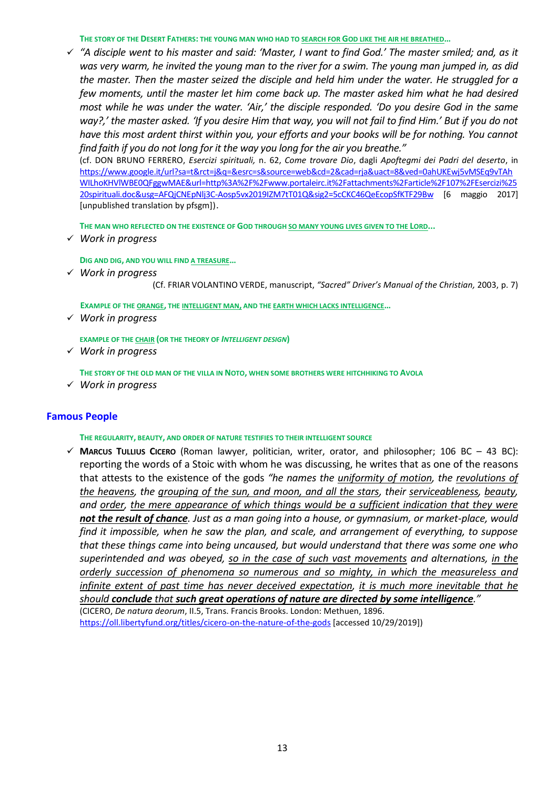**THE STORY OF THE DESERT FATHERS: THE YOUNG MAN WHO HAD TO SEARCH FOR GOD LIKE THE AIR HE BREATHED…**

 *"A disciple went to his master and said: 'Master, I want to find God.' The master smiled; and, as it was very warm, he invited the young man to the river for a swim. The young man jumped in, as did the master. Then the master seized the disciple and held him under the water. He struggled for a few moments, until the master let him come back up. The master asked him what he had desired most while he was under the water. 'Air,' the disciple responded. 'Do you desire God in the same way?,' the master asked. 'If you desire Him that way, you will not fail to find Him.' But if you do not have this most ardent thirst within you, your efforts and your books will be for nothing. You cannot find faith if you do not long for it the way you long for the air you breathe."* 

(cf. DON BRUNO FERRERO, *Esercizi spirituali,* n. 62, *Come trovare Dio*, dagli *Apoftegmi dei Padri del deserto*, in [https://www.google.it/url?sa=t&rct=j&q=&esrc=s&source=web&cd=2&cad=rja&uact=8&ved=0ahUKEwj5vMSEq9vTAh](https://www.google.it/url?sa=t&rct=j&q=&esrc=s&source=web&cd=2&cad=rja&uact=8&ved=0ahUKEwj5vMSEq9vTAhWILhoKHVlWBE0QFggwMAE&url=http%3A%2F%2Fwww.portaleirc.it%2Fattachments%2Farticle%2F107%2FEsercizi%2520spirituali.doc&usg=AFQjCNEpNlj3C-Aosp5vx2019IZM7tT01Q&sig2=5cCKC46QeEcopSfKTF29Bw) [WILhoKHVlWBE0QFggwMAE&url=http%3A%2F%2Fwww.portaleirc.it%2Fattachments%2Farticle%2F107%2FEsercizi%25](https://www.google.it/url?sa=t&rct=j&q=&esrc=s&source=web&cd=2&cad=rja&uact=8&ved=0ahUKEwj5vMSEq9vTAhWILhoKHVlWBE0QFggwMAE&url=http%3A%2F%2Fwww.portaleirc.it%2Fattachments%2Farticle%2F107%2FEsercizi%2520spirituali.doc&usg=AFQjCNEpNlj3C-Aosp5vx2019IZM7tT01Q&sig2=5cCKC46QeEcopSfKTF29Bw) [20spirituali.doc&usg=AFQjCNEpNlj3C-Aosp5vx2019IZM7tT01Q&sig2=5cCKC46QeEcopSfKTF29Bw](https://www.google.it/url?sa=t&rct=j&q=&esrc=s&source=web&cd=2&cad=rja&uact=8&ved=0ahUKEwj5vMSEq9vTAhWILhoKHVlWBE0QFggwMAE&url=http%3A%2F%2Fwww.portaleirc.it%2Fattachments%2Farticle%2F107%2FEsercizi%2520spirituali.doc&usg=AFQjCNEpNlj3C-Aosp5vx2019IZM7tT01Q&sig2=5cCKC46QeEcopSfKTF29Bw) [6 maggio 2017] [unpublished translation by pfsgm])**.**

**THE MAN WHO REFLECTED ON THE EXISTENCE OF GOD THROUGH SO MANY YOUNG LIVES GIVEN TO THE LORD...**

*Work in progress*

**DIG AND DIG, AND YOU WILL FIND A TREASURE…**

*Work in progress*

(Cf. FRIAR VOLANTINO VERDE, manuscript, *"Sacred" Driver's Manual of the Christian,* 2003, p. 7)

**EXAMPLE OF THE ORANGE, THE INTELLIGENT MAN, AND THE EARTH WHICH LACKS INTELLIGENCE…**

*Work in progress*

**EXAMPLE OF THE CHAIR (OR THE THEORY OF** *INTELLIGENT DESIGN***)**

*Work in progress*

**THE STORY OF THE OLD MAN OF THE VILLA IN NOTO, WHEN SOME BROTHERS WERE HITCHHIKING TO AVOLA**

*Work in progress*

## **Famous People**

#### **THE REGULARITY, BEAUTY, AND ORDER OF NATURE TESTIFIES TO THEIR INTELLIGENT SOURCE**

 **MARCUS TULLIUS CICERO** (Roman lawyer, politician, writer, orator, and philosopher; 106 BC – 43 BC): reporting the words of a Stoic with whom he was discussing, he writes that as one of the reasons that attests to the existence of the gods *"he names the uniformity of motion, the revolutions of the heavens, the grouping of the sun, and moon, and all the stars, their serviceableness, beauty, and order, the mere appearance of which things would be a sufficient indication that they were not the result of chance. Just as a man going into a house, or gymnasium, or market-place, would find it impossible, when he saw the plan, and scale, and arrangement of everything, to suppose that these things came into being uncaused, but would understand that there was some one who superintended and was obeyed, so in the case of such vast movements and alternations, in the orderly succession of phenomena so numerous and so mighty, in which the measureless and infinite extent of past time has never deceived expectation, it is much more inevitable that he should conclude that such great operations of nature are directed by some intelligence."* (CICERO, *De natura deorum*, II.5, Trans. Francis Brooks. London: Methuen, 1896.

<https://oll.libertyfund.org/titles/cicero-on-the-nature-of-the-gods> [accessed 10/29/2019])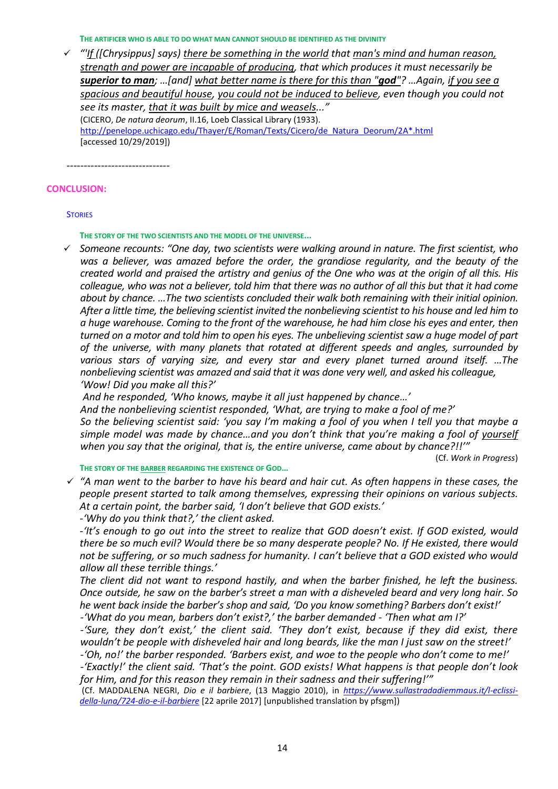**THE ARTIFICER WHO IS ABLE TO DO WHAT MAN CANNOT SHOULD BE IDENTIFIED AS THE DIVINITY**

 *"'If ([Chrysippus] says) there be something in the world that man's mind and human reason, strength and power are incapable of producing, that which produces it must necessarily be superior to man; …[and] what better name is there for this than "god"? …Again, if you see a spacious and beautiful house, you could not be induced to believe, even though you could not see its master, that it was built by mice and weasels..."*  (CICERO, *De natura deorum*, II.16, Loeb Classical Library (1933). [http://penelope.uchicago.edu/Thayer/E/Roman/Texts/Cicero/de\\_Natura\\_Deorum/2A\\*.html](http://penelope.uchicago.edu/Thayer/E/Roman/Texts/Cicero/de_Natura_Deorum/2A*.html) [accessed 10/29/2019])

------------------------------

#### **CONCLUSION:**

#### **STORIES**

**THE STORY OF THE TWO SCIENTISTS AND THE MODEL OF THE UNIVERSE...**

 *Someone recounts: "One day, two scientists were walking around in nature. The first scientist, who was a believer, was amazed before the order, the grandiose regularity, and the beauty of the created world and praised the artistry and genius of the One who was at the origin of all this. His colleague, who was not a believer, told him that there was no author of all this but that it had come about by chance. …The two scientists concluded their walk both remaining with their initial opinion. After a little time, the believing scientist invited the nonbelieving scientist to his house and led him to a huge warehouse. Coming to the front of the warehouse, he had him close his eyes and enter, then turned on a motor and told him to open his eyes. The unbelieving scientist saw a huge model of part of the universe, with many planets that rotated at different speeds and angles, surrounded by various stars of varying size, and every star and every planet turned around itself. …The nonbelieving scientist was amazed and said that it was done very well, and asked his colleague, 'Wow! Did you make all this?'*

*And he responded, 'Who knows, maybe it all just happened by chance…'*

*And the nonbelieving scientist responded, 'What, are trying to make a fool of me?' So the believing scientist said: 'you say I'm making a fool of you when I tell you that maybe a simple model was made by chance…and you don't think that you're making a fool of yourself when you say that the original, that is, the entire universe, came about by chance?!!'"* 

(Cf. *Work in Progress*)

**THE STORY OF THE BARBER REGARDING THE EXISTENCE OF GOD…**

- *"A man went to the barber to have his beard and hair cut. As often happens in these cases, the people present started to talk among themselves, expressing their opinions on various subjects. At a certain point, the barber said, 'I don't believe that GOD exists.'*
	- *-'Why do you think that?,' the client asked.*

*-'It's enough to go out into the street to realize that GOD doesn't exist. If GOD existed, would there be so much evil? Would there be so many desperate people? No. If He existed, there would not be suffering, or so much sadness for humanity. I can't believe that a GOD existed who would allow all these terrible things.'*

*The client did not want to respond hastily, and when the barber finished, he left the business. Once outside, he saw on the barber's street a man with a disheveled beard and very long hair. So he went back inside the barber's shop and said, 'Do you know something? Barbers don't exist!'*

*-'What do you mean, barbers don't exist?,' the barber demanded - 'Then what am I?'*

*-'Sure, they don't exist,' the client said. 'They don't exist, because if they did exist, there wouldn't be people with disheveled hair and long beards, like the man I just saw on the street!' -'Oh, no!' the barber responded. 'Barbers exist, and woe to the people who don't come to me!'*

*-'Exactly!' the client said. 'That's the point. GOD exists! What happens is that people don't look for Him, and for this reason they remain in their sadness and their suffering!'"*

(Cf. MADDALENA NEGRI, *Dio e il barbiere*, (13 Maggio 2010), in *[https://www.sullastradadiemmaus.it/l-eclissi](https://www.sullastradadiemmaus.it/l-eclissi-della-luna/724-dio-e-il-barbiere)[della-luna/724-dio-e-il-barbiere](https://www.sullastradadiemmaus.it/l-eclissi-della-luna/724-dio-e-il-barbiere)* [22 aprile 2017] [unpublished translation by pfsgm])